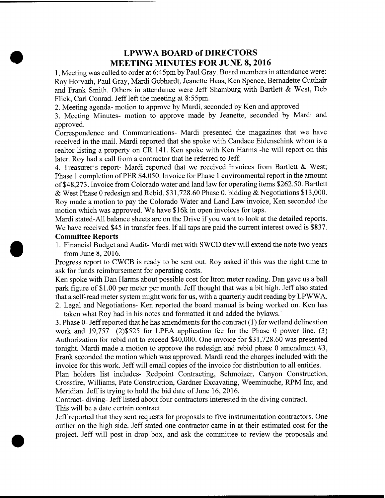## LPWWA BOARD of DIRECTORS MEETING MINUTES FOR JUNE 8, 2016

1, Meeting was called to order at 6:45pm by Paul Gray. Board members in attendance were: Roy Horvath, Paul Gray, Mardi Gebhardt, Jeanette Haas, Ken Spence, Bernadette Cutthair and Frank Smith. Others in attendance were Jeff Shamburg with Bartlett & West, Deb Flick, Carl Conrad. Jeff left the meeting at 8:55pm.

2. Meeting agenda- motion to approve by Mardi, seconded by Ken and approved

3. Meeting Minutes- motion to approve made by Jeanette, seconded by Mardi and approved.

Correspondence and Communications- Mardi presented the magazines that we have received in the mail. Mardi reported that she spoke with Candace Eidenschink whom is a realtor listing <sup>a</sup> property on CR 141. Ken spoke with Ken Harms -he will report on this later. Roy had a call from a contractor that he referred to Jeff.

4. Treasurer's report- Mardi reported that we received invoices from Bartlett & West; Phase 1 completion of PER \$4,050. Invoice for Phase 1 environmental report in the amount of \$48,273. Invoice from Colorado water and land law for operating items \$262.50. Bartlett & West Phase <sup>0</sup> redesign and Rebid, \$31,728.60 Phase 0, bidding & Negotiations \$13,000. Roy made a motion to pay the Colorado Water and Land Law invoice, Ken seconded the motion which was approved. We have \$16k in open invoices for taps.

Mardi stated-All balance sheets are on the Drive if you want to look at the detailed reports. We have received \$45 in transfer fees. If all taps are paid the current interest owed is \$837.

## Committee Reports

'

1. Financial Budget and Audit- Mardi met with SWCD they will extend the note two years from June 8, 2016.

Progress report to CWCB is ready to be sent out. Roy asked if this was the right time to ask for funds reimbursement for operating costs.

Ken spoke with Dan Harms about possible cost for ltron meter reading. Dan gave us a ball park figure of \$1.00 per meter per month. Jeff thought that was a bit high. Jeff also stated that a self-read meter system might work for us, with a quarterly audit reading by LPWWA. 2. Legal and Negotiations- Ken reported the board manual is being worked on. Ken has

taken what Roy had in his notes and formatted it and added the bylaws.'

3. Phase 0- Jeffreported that he has amendments for the contract (1) for wetland delineation work and 19,757 (2)\$525 for LPEA application fee for the Phase 0 power line. (3) Authorization for rebid not to exceed \$40,000. One invoice for \$31,728.60 was presented tonight. Mardi made a motion to approve the redesign and rebid phase 0 amendment #3, Frank seconded the motion which was approved. Mardi read the charges included with the invoice for this work. Jeff will email copies of the invoice for distribution to all entities.

Plan holders list includes- Redpoint Contracting, Schmoizer, Canyon Construction, Crossfire, Williams, Pate Construction, Gardner Excavating, Weeminuche, RPM Inc, and Meridian. Jeff is trying to hold the bid date of June 16, 2016.

Contract- diving- Jeff listed about four contractors interested in the diving contract. This will be <sup>a</sup> date certain contract.

Jeff reported that they sent requests for proposals to five instrumentation contractors. One outlier on the high side. Jeff stated one contractor came in at their estimated cost for the project. Jeff will post in drop box, and ask the committee to review the proposals and